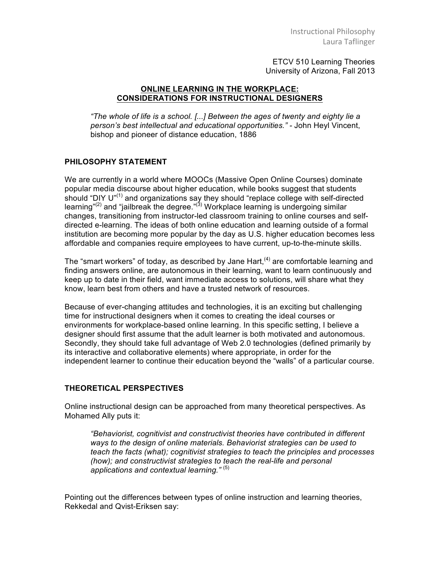ETCV 510 Learning Theories University of Arizona, Fall 2013

## **ONLINE LEARNING IN THE WORKPLACE: CONSIDERATIONS FOR INSTRUCTIONAL DESIGNERS**

*"The whole of life is a school. [...] Between the ages of twenty and eighty lie a person's best intellectual and educational opportunities." -* John Heyl Vincent, bishop and pioneer of distance education, 1886

## **PHILOSOPHY STATEMENT**

We are currently in a world where MOOCs (Massive Open Online Courses) dominate popular media discourse about higher education, while books suggest that students should "DIY U"<sup>(1)</sup> and organizations say they should "replace college with self-directed learning"<sup>(2)</sup> and "jailbreak the degree."<sup>(3)</sup> Workplace learning is undergoing similar changes, transitioning from instructor-led classroom training to online courses and selfdirected e-learning. The ideas of both online education and learning outside of a formal institution are becoming more popular by the day as U.S. higher education becomes less affordable and companies require employees to have current, up-to-the-minute skills.

The "smart workers" of today, as described by Jane Hart,  $(4)$  are comfortable learning and finding answers online, are autonomous in their learning, want to learn continuously and keep up to date in their field, want immediate access to solutions, will share what they know, learn best from others and have a trusted network of resources.

Because of ever-changing attitudes and technologies, it is an exciting but challenging time for instructional designers when it comes to creating the ideal courses or environments for workplace-based online learning. In this specific setting, I believe a designer should first assume that the adult learner is both motivated and autonomous. Secondly, they should take full advantage of Web 2.0 technologies (defined primarily by its interactive and collaborative elements) where appropriate, in order for the independent learner to continue their education beyond the "walls" of a particular course.

## **THEORETICAL PERSPECTIVES**

Online instructional design can be approached from many theoretical perspectives. As Mohamed Ally puts it:

*"Behaviorist, cognitivist and constructivist theories have contributed in different ways to the design of online materials. Behaviorist strategies can be used to teach the facts (what); cognitivist strategies to teach the principles and processes (how); and constructivist strategies to teach the real-life and personal applications and contextual learning."* (5)

Pointing out the differences between types of online instruction and learning theories, Rekkedal and Qvist-Eriksen say: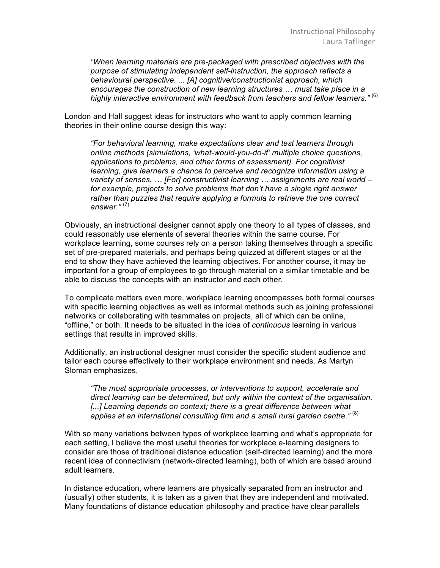*"When learning materials are pre-packaged with prescribed objectives with the purpose of stimulating independent self-instruction, the approach reflects a behavioural perspective. ... [A] cognitive/constructionist approach, which encourages the construction of new learning structures … must take place in a highly interactive environment with feedback from teachers and fellow learners."* (6)

London and Hall suggest ideas for instructors who want to apply common learning theories in their online course design this way:

*"For behavioral learning, make expectations clear and test learners through online methods (simulations, 'what-would-you-do-if' multiple choice questions, applications to problems, and other forms of assessment). For cognitivist learning, give learners a chance to perceive and recognize information using a variety of senses. … [For] constructivist learning … assignments are real world –* for example, projects to solve problems that don't have a single right answer *rather than puzzles that require applying a formula to retrieve the one correct answer."* (7)

Obviously, an instructional designer cannot apply one theory to all types of classes, and could reasonably use elements of several theories within the same course. For workplace learning, some courses rely on a person taking themselves through a specific set of pre-prepared materials, and perhaps being quizzed at different stages or at the end to show they have achieved the learning objectives. For another course, it may be important for a group of employees to go through material on a similar timetable and be able to discuss the concepts with an instructor and each other.

To complicate matters even more, workplace learning encompasses both formal courses with specific learning objectives as well as informal methods such as joining professional networks or collaborating with teammates on projects, all of which can be online, "offline," or both. It needs to be situated in the idea of *continuous* learning in various settings that results in improved skills.

Additionally, an instructional designer must consider the specific student audience and tailor each course effectively to their workplace environment and needs. As Martyn Sloman emphasizes,

*"The most appropriate processes, or interventions to support, accelerate and direct learning can be determined, but only within the context of the organisation.*  [...] Learning depends on context; there is a great difference between what applies at an international consulting firm and a small rural garden centre."<sup>(8)</sup>

With so many variations between types of workplace learning and what's appropriate for each setting, I believe the most useful theories for workplace e-learning designers to consider are those of traditional distance education (self-directed learning) and the more recent idea of connectivism (network-directed learning), both of which are based around adult learners.

In distance education, where learners are physically separated from an instructor and (usually) other students, it is taken as a given that they are independent and motivated. Many foundations of distance education philosophy and practice have clear parallels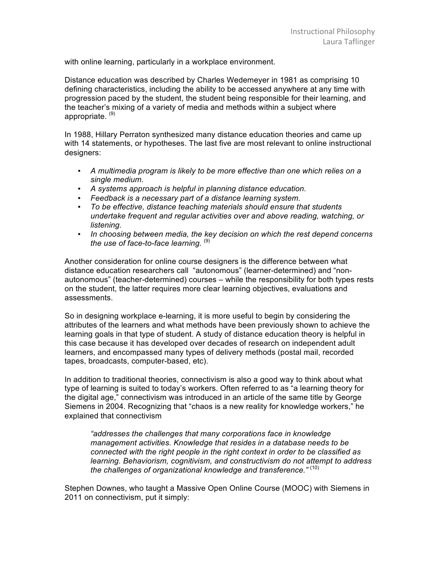with online learning, particularly in a workplace environment.

Distance education was described by Charles Wedemeyer in 1981 as comprising 10 defining characteristics, including the ability to be accessed anywhere at any time with progression paced by the student, the student being responsible for their learning, and the teacher's mixing of a variety of media and methods within a subject where appropriate. (9)

In 1988, Hillary Perraton synthesized many distance education theories and came up with 14 statements, or hypotheses. The last five are most relevant to online instructional designers:

- *A multimedia program is likely to be more effective than one which relies on a single medium.*
- *A systems approach is helpful in planning distance education.*
- *Feedback is a necessary part of a distance learning system.*
- *To be effective, distance teaching materials should ensure that students undertake frequent and regular activities over and above reading, watching, or listening.*
- *In choosing between media, the key decision on which the rest depend concerns the use of face-to-face learning.*  $^{(9)}$

Another consideration for online course designers is the difference between what distance education researchers call "autonomous" (learner-determined) and "nonautonomous" (teacher-determined) courses – while the responsibility for both types rests on the student, the latter requires more clear learning objectives, evaluations and assessments.

So in designing workplace e-learning, it is more useful to begin by considering the attributes of the learners and what methods have been previously shown to achieve the learning goals in that type of student. A study of distance education theory is helpful in this case because it has developed over decades of research on independent adult learners, and encompassed many types of delivery methods (postal mail, recorded tapes, broadcasts, computer-based, etc).

In addition to traditional theories, connectivism is also a good way to think about what type of learning is suited to today's workers. Often referred to as "a learning theory for the digital age," connectivism was introduced in an article of the same title by George Siemens in 2004. Recognizing that "chaos is a new reality for knowledge workers," he explained that connectivism

*"addresses the challenges that many corporations face in knowledge management activities. Knowledge that resides in a database needs to be connected with the right people in the right context in order to be classified as learning. Behaviorism, cognitivism, and constructivism do not attempt to address the challenges of organizational knowledge and transference."* (10)

Stephen Downes, who taught a Massive Open Online Course (MOOC) with Siemens in 2011 on connectivism, put it simply: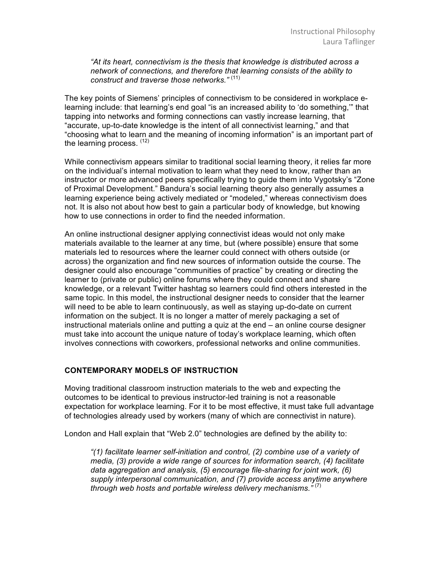*"At its heart, connectivism is the thesis that knowledge is distributed across a network of connections, and therefore that learning consists of the ability to construct and traverse those networks."* (11)

The key points of Siemens' principles of connectivism to be considered in workplace elearning include: that learning's end goal "is an increased ability to 'do something,'" that tapping into networks and forming connections can vastly increase learning, that "accurate, up-to-date knowledge is the intent of all connectivist learning," and that "choosing what to learn and the meaning of incoming information" is an important part of the learning process. (12)

While connectivism appears similar to traditional social learning theory, it relies far more on the individual's internal motivation to learn what they need to know, rather than an instructor or more advanced peers specifically trying to guide them into Vygotsky's "Zone of Proximal Development." Bandura's social learning theory also generally assumes a learning experience being actively mediated or "modeled," whereas connectivism does not. It is also not about how best to gain a particular body of knowledge, but knowing how to use connections in order to find the needed information.

An online instructional designer applying connectivist ideas would not only make materials available to the learner at any time, but (where possible) ensure that some materials led to resources where the learner could connect with others outside (or across) the organization and find new sources of information outside the course. The designer could also encourage "communities of practice" by creating or directing the learner to (private or public) online forums where they could connect and share knowledge, or a relevant Twitter hashtag so learners could find others interested in the same topic. In this model, the instructional designer needs to consider that the learner will need to be able to learn continuously, as well as staying up-do-date on current information on the subject. It is no longer a matter of merely packaging a set of instructional materials online and putting a quiz at the end – an online course designer must take into account the unique nature of today's workplace learning, which often involves connections with coworkers, professional networks and online communities.

## **CONTEMPORARY MODELS OF INSTRUCTION**

Moving traditional classroom instruction materials to the web and expecting the outcomes to be identical to previous instructor-led training is not a reasonable expectation for workplace learning. For it to be most effective, it must take full advantage of technologies already used by workers (many of which are connectivist in nature).

London and Hall explain that "Web 2.0" technologies are defined by the ability to:

*"(1) facilitate learner self-initiation and control, (2) combine use of a variety of media, (3) provide a wide range of sources for information search, (4) facilitate data aggregation and analysis, (5) encourage file-sharing for joint work, (6) supply interpersonal communication, and (7) provide access anytime anywhere through web hosts and portable wireless delivery mechanisms."* (7)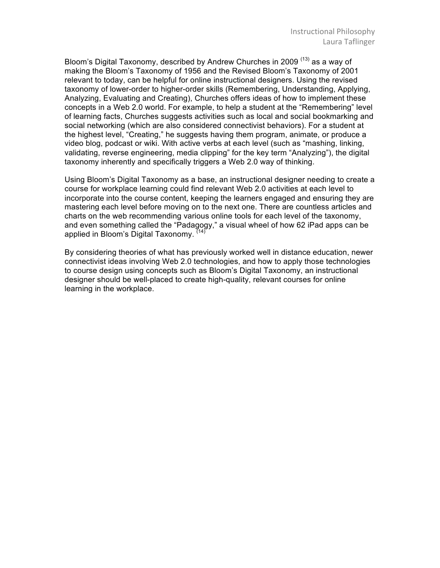Bloom's Digital Taxonomy, described by Andrew Churches in 2009<sup>(13)</sup> as a way of making the Bloom's Taxonomy of 1956 and the Revised Bloom's Taxonomy of 2001 relevant to today, can be helpful for online instructional designers. Using the revised taxonomy of lower-order to higher-order skills (Remembering, Understanding, Applying, Analyzing, Evaluating and Creating), Churches offers ideas of how to implement these concepts in a Web 2.0 world. For example, to help a student at the "Remembering" level of learning facts, Churches suggests activities such as local and social bookmarking and social networking (which are also considered connectivist behaviors). For a student at the highest level, "Creating," he suggests having them program, animate, or produce a video blog, podcast or wiki. With active verbs at each level (such as "mashing, linking, validating, reverse engineering, media clipping" for the key term "Analyzing"), the digital taxonomy inherently and specifically triggers a Web 2.0 way of thinking.

Using Bloom's Digital Taxonomy as a base, an instructional designer needing to create a course for workplace learning could find relevant Web 2.0 activities at each level to incorporate into the course content, keeping the learners engaged and ensuring they are mastering each level before moving on to the next one. There are countless articles and charts on the web recommending various online tools for each level of the taxonomy, and even something called the "Padagogy," a visual wheel of how 62 iPad apps can be applied in Bloom's Digital Taxonomy. <sup>(14</sup>)

By considering theories of what has previously worked well in distance education, newer connectivist ideas involving Web 2.0 technologies, and how to apply those technologies to course design using concepts such as Bloom's Digital Taxonomy, an instructional designer should be well-placed to create high-quality, relevant courses for online learning in the workplace.